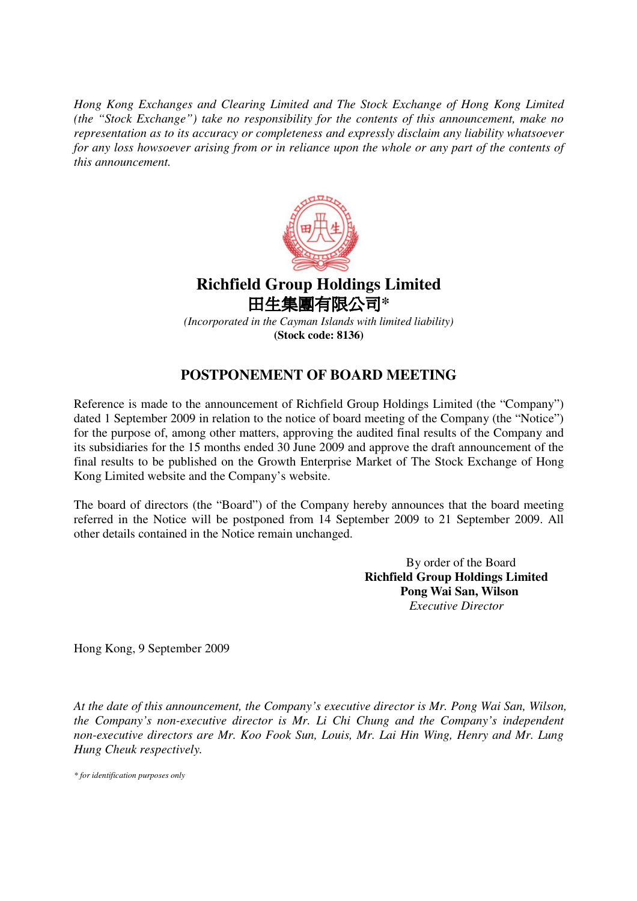*Hong Kong Exchanges and Clearing Limited and The Stock Exchange of Hong Kong Limited (the "Stock Exchange") take no responsibility for the contents of this announcement, make no representation as to its accuracy or completeness and expressly disclaim any liability whatsoever* for any loss howsoever arising from or in reliance upon the whole or any part of the contents of *this announcement.*



## **Richfield Group Holdings Limited** 田生**集團有限公司\***

*(Incorporated in the Cayman Islands with limited liability)* **(Stock code: 8136)**

## **POSTPONEMENT OF BOARD MEETING**

Reference is made to the announcement of Richfield Group Holdings Limited (the "Company") dated 1 September 2009 in relation to the notice of board meeting of the Company (the "Notice") for the purpose of, among other matters, approving the audited final results of the Company and its subsidiaries for the 15 months ended 30 June 2009 and approve the draft announcement of the final results to be published on the Growth Enterprise Market of The Stock Exchange of Hong Kong Limited website and the Company's website.

The board of directors (the "Board") of the Company hereby announces that the board meeting referred in the Notice will be postponed from 14 September 2009 to 21 September 2009. All other details contained in the Notice remain unchanged.

> By order of the Board **Richfield Group Holdings Limited Pong Wai San, Wilson** *Executive Director*

Hong Kong, 9 September 2009

*At the date of this announcement, the Company's executive director is Mr. Pong Wai San, Wilson, the Company's non-executive director is Mr. Li Chi Chung and the Company's independent non-executive directors are Mr. Koo Fook Sun, Louis, Mr. Lai Hin Wing, Henry and Mr. Lung Hung Cheuk respectively.*

*\* for identification purposes only*